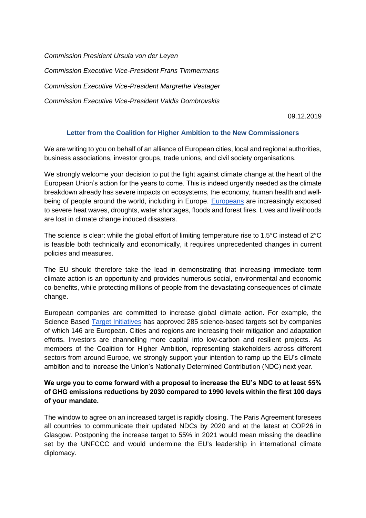*Commission President Ursula von der Leyen Commission Executive Vice-President Frans Timmermans Commission Executive Vice-President Margrethe Vestager Commission Executive Vice-President Valdis Dombrovskis*

09.12.2019

## **Letter from the Coalition for Higher Ambition to the New Commissioners**

We are writing to you on behalf of an alliance of European cities, local and regional authorities, business associations, investor groups, trade unions, and civil society organisations.

We strongly welcome your decision to put the fight against climate change at the heart of the European Union's action for the years to come. This is indeed urgently needed as the climate breakdown already has severe impacts on ecosystems, the economy, human health and well-being of people around the world, including in Europe[.](https://www.eea.europa.eu/media/audiovisuals/climate-change-impacts-in-europe/view) [Europeans](https://www.eea.europa.eu/media/audiovisuals/climate-change-impacts-in-europe/view) are increasingly exposed to severe heat waves, droughts, water shortages, floods and forest fires. Lives and livelihoods are lost in climate change induced disasters.

The science is clear: while the global effort of limiting temperature rise to 1.5°C instead of 2°C is feasible both technically and economically, it requires unprecedented changes in current policies and measures.

The EU should therefore take the lead in demonstrating that increasing immediate term climate action is an opportunity and provides numerous social, environmental and economic co-benefits, while protecting millions of people from the devastating consequences of climate change.

European companies are committed to increase global climate action. For example, the Science Based [Target Initiatives](https://sciencebasedtargets.org/2019/12/04/companies-with-more-greenhouse-gas-emissions-than-france-and-spain-combined-reducing-emissions-by-35-in-line-with-the-paris-agreement/) has approved [285 science-based targets set by companies](https://sciencebasedtargets.org/companies-taking-action/) of which 146 are European. Cities and regions are increasing their mitigation and adaptation efforts. Investors are channelling more capital into low-carbon and resilient projects. As members of the Coalition for Higher Ambition, representing stakeholders across different sectors from around Europe, we strongly support your intention to ramp up the EU's climate ambition and to increase the Union's Nationally Determined Contribution (NDC) next year.

## **We urge you to come forward with a proposal to increase the EU's NDC to at least 55% of GHG emissions reductions by 2030 compared to 1990 levels within the first 100 days of your mandate.**

The window to agree on an increased target is rapidly closing. The Paris Agreement foresees all countries to communicate their updated NDCs by 2020 and at the latest at COP26 in Glasgow. Postponing the increase target to 55% in 2021 would mean missing the deadline set by the UNFCCC and would undermine the EU's leadership in international climate diplomacy.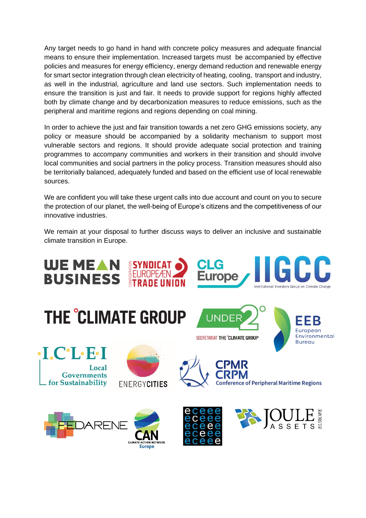Any target needs to go hand in hand with concrete policy measures and adequate financial means to ensure their implementation. Increased targets must be accompanied by effective policies and measures for energy efficiency, energy demand reduction and renewable energy for smart sector integration through clean electricity of heating, cooling, transport and industry, as well in the industrial, agriculture and land use sectors. Such implementation needs to ensure the transition is just and fair. It needs to provide support for regions highly affected both by climate change and by decarbonization measures to reduce emissions, such as the peripheral and maritime regions and regions depending on coal mining.

In order to achieve the just and fair transition towards a net zero GHG emissions society, any policy or measure should be accompanied by a solidarity mechanism to support most vulnerable sectors and regions. It should provide adequate social protection and training programmes to accompany communities and workers in their transition and should involve local communities and social partners in the policy process. Transition measures should also be territorially balanced, adequately funded and based on the efficient use of local renewable sources.

We are confident you will take these urgent calls into due account and count on you to secure the protection of our planet, the well-being of Europe's citizens and the competitiveness of our innovative industries.

We remain at your disposal to further discuss ways to deliver an inclusive and sustainable climate transition in Europe.

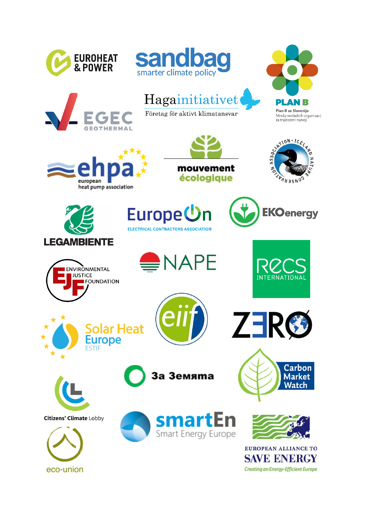

eco-union

**Creating an Energy-Efficient Europe**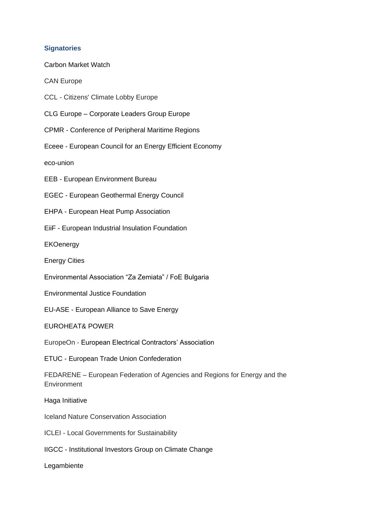## **Signatories**

Carbon Market Watch

CAN Europe

CCL - Citizens' Climate Lobby Europe

CLG Europe – Corporate Leaders Group Europe

CPMR - Conference of Peripheral Maritime Regions

Eceee - European Council for an Energy Efficient Economy

eco-union

EEB - European Environment Bureau

EGEC - European Geothermal Energy Council

EHPA - European Heat Pump Association

EiiF - European Industrial Insulation Foundation

**EKOenergy** 

Energy Cities

Environmental Association "Za Zemiata" / FoE Bulgaria

Environmental Justice Foundation

EU-ASE - European Alliance to Save Energy

EUROHEAT& POWER

EuropeOn - European Electrical Contractors' Association

ETUC - European Trade Union Confederation

FEDARENE – European Federation of Agencies and Regions for Energy and the **Environment** 

Haga Initiative

Iceland Nature Conservation Association

ICLEI - Local Governments for Sustainability

IIGCC - Institutional Investors Group on Climate Change

Legambiente